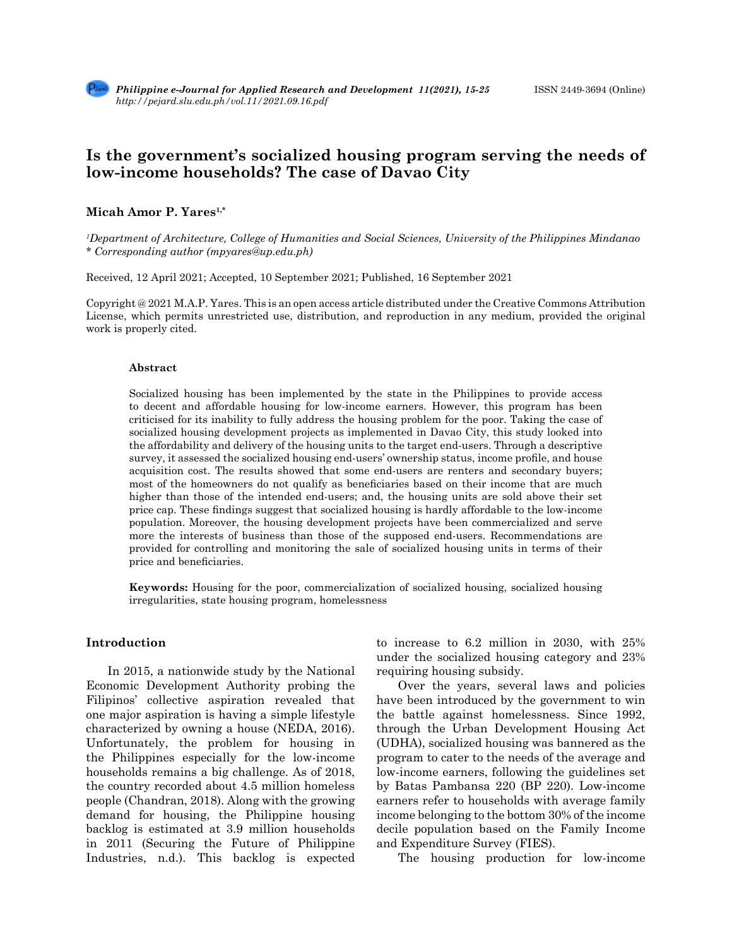# **Is the government's socialized housing program serving the needs of low-income households? The case of Davao City**

# **Micah Amor P. Yares1,\***

*1 Department of Architecture, College of Humanities and Social Sciences, University of the Philippines Mindanao \* Corresponding author (mpyares@up.edu.ph)*

Received, 12 April 2021; Accepted, 10 September 2021; Published, 16 September 2021

Copyright @ 2021 M.A.P. Yares. This is an open access article distributed under the Creative Commons Attribution License, which permits unrestricted use, distribution, and reproduction in any medium, provided the original work is properly cited.

#### **Abstract**

Socialized housing has been implemented by the state in the Philippines to provide access to decent and affordable housing for low-income earners. However, this program has been criticised for its inability to fully address the housing problem for the poor. Taking the case of socialized housing development projects as implemented in Davao City, this study looked into the affordability and delivery of the housing units to the target end-users. Through a descriptive survey, it assessed the socialized housing end-users' ownership status, income profile, and house acquisition cost. The results showed that some end-users are renters and secondary buyers; most of the homeowners do not qualify as beneficiaries based on their income that are much higher than those of the intended end-users; and, the housing units are sold above their set price cap. These findings suggest that socialized housing is hardly affordable to the low-income population. Moreover, the housing development projects have been commercialized and serve more the interests of business than those of the supposed end-users. Recommendations are provided for controlling and monitoring the sale of socialized housing units in terms of their price and beneficiaries.

**Keywords:** Housing for the poor, commercialization of socialized housing, socialized housing irregularities, state housing program, homelessness

### **Introduction**

In 2015, a nationwide study by the National Economic Development Authority probing the Filipinos' collective aspiration revealed that one major aspiration is having a simple lifestyle characterized by owning a house (NEDA, 2016). Unfortunately, the problem for housing in the Philippines especially for the low-income households remains a big challenge. As of 2018, the country recorded about 4.5 million homeless people (Chandran, 2018). Along with the growing demand for housing, the Philippine housing backlog is estimated at 3.9 million households in 2011 (Securing the Future of Philippine Industries, n.d.). This backlog is expected to increase to 6.2 million in 2030, with 25% under the socialized housing category and 23% requiring housing subsidy.

Over the years, several laws and policies have been introduced by the government to win the battle against homelessness. Since 1992, through the Urban Development Housing Act (UDHA), socialized housing was bannered as the program to cater to the needs of the average and low-income earners, following the guidelines set by Batas Pambansa 220 (BP 220). Low-income earners refer to households with average family income belonging to the bottom 30% of the income decile population based on the Family Income and Expenditure Survey (FIES).

The housing production for low-income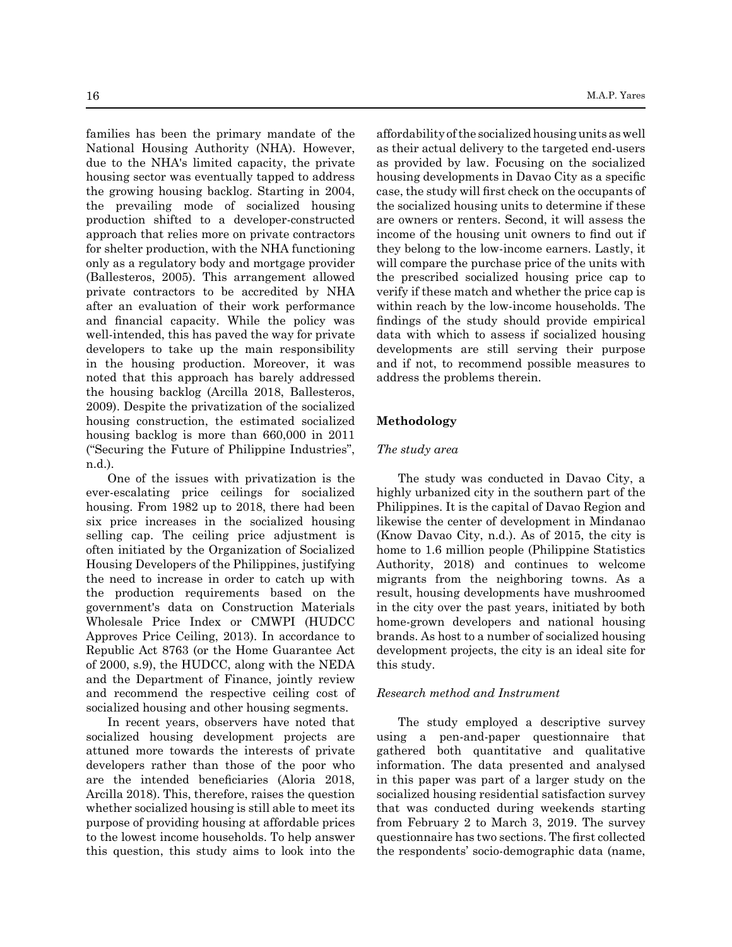families has been the primary mandate of the National Housing Authority (NHA). However, due to the NHA's limited capacity, the private housing sector was eventually tapped to address the growing housing backlog. Starting in 2004, the prevailing mode of socialized housing production shifted to a developer-constructed approach that relies more on private contractors for shelter production, with the NHA functioning only as a regulatory body and mortgage provider (Ballesteros, 2005). This arrangement allowed private contractors to be accredited by NHA after an evaluation of their work performance and financial capacity. While the policy was well-intended, this has paved the way for private developers to take up the main responsibility in the housing production. Moreover, it was noted that this approach has barely addressed the housing backlog (Arcilla 2018, Ballesteros, 2009). Despite the privatization of the socialized housing construction, the estimated socialized housing backlog is more than 660,000 in 2011 ("Securing the Future of Philippine Industries", n.d.).

One of the issues with privatization is the ever-escalating price ceilings for socialized housing. From 1982 up to 2018, there had been six price increases in the socialized housing selling cap. The ceiling price adjustment is often initiated by the Organization of Socialized Housing Developers of the Philippines, justifying the need to increase in order to catch up with the production requirements based on the government's data on Construction Materials Wholesale Price Index or CMWPI (HUDCC Approves Price Ceiling, 2013). In accordance to Republic Act 8763 (or the Home Guarantee Act of 2000, s.9), the HUDCC, along with the NEDA and the Department of Finance, jointly review and recommend the respective ceiling cost of socialized housing and other housing segments.

In recent years, observers have noted that socialized housing development projects are attuned more towards the interests of private developers rather than those of the poor who are the intended beneficiaries (Aloria 2018, Arcilla 2018). This, therefore, raises the question whether socialized housing is still able to meet its purpose of providing housing at affordable prices to the lowest income households. To help answer this question, this study aims to look into the affordability of the socialized housing units as well as their actual delivery to the targeted end-users as provided by law. Focusing on the socialized housing developments in Davao City as a specific case, the study will first check on the occupants of the socialized housing units to determine if these are owners or renters. Second, it will assess the income of the housing unit owners to find out if they belong to the low-income earners. Lastly, it will compare the purchase price of the units with the prescribed socialized housing price cap to verify if these match and whether the price cap is within reach by the low-income households. The findings of the study should provide empirical data with which to assess if socialized housing developments are still serving their purpose and if not, to recommend possible measures to address the problems therein.

# **Methodology**

## *The study area*

The study was conducted in Davao City, a highly urbanized city in the southern part of the Philippines. It is the capital of Davao Region and likewise the center of development in Mindanao (Know Davao City, n.d.). As of 2015, the city is home to 1.6 million people (Philippine Statistics Authority, 2018) and continues to welcome migrants from the neighboring towns. As a result, housing developments have mushroomed in the city over the past years, initiated by both home-grown developers and national housing brands. As host to a number of socialized housing development projects, the city is an ideal site for this study.

## *Research method and Instrument*

The study employed a descriptive survey using a pen-and-paper questionnaire that gathered both quantitative and qualitative information. The data presented and analysed in this paper was part of a larger study on the socialized housing residential satisfaction survey that was conducted during weekends starting from February 2 to March 3, 2019. The survey questionnaire has two sections. The first collected the respondents' socio-demographic data (name,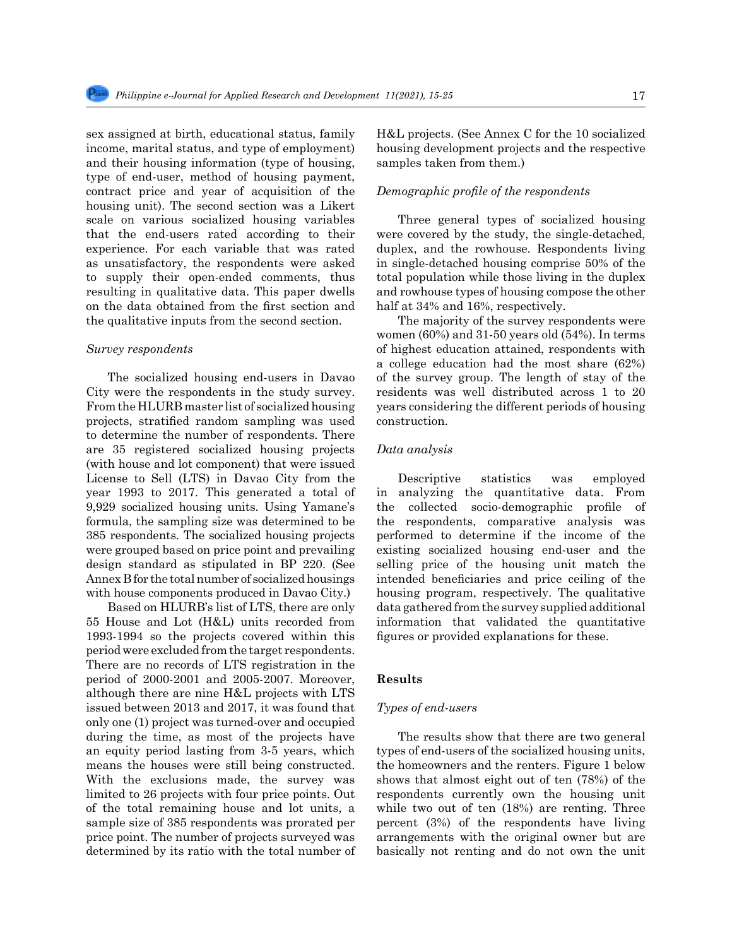sex assigned at birth, educational status, family income, marital status, and type of employment) and their housing information (type of housing, type of end-user, method of housing payment, contract price and year of acquisition of the housing unit). The second section was a Likert scale on various socialized housing variables that the end-users rated according to their experience. For each variable that was rated as unsatisfactory, the respondents were asked to supply their open-ended comments, thus resulting in qualitative data. This paper dwells on the data obtained from the first section and the qualitative inputs from the second section.

#### *Survey respondents*

The socialized housing end-users in Davao City were the respondents in the study survey. From the HLURB master list of socialized housing projects, stratified random sampling was used to determine the number of respondents. There are 35 registered socialized housing projects (with house and lot component) that were issued License to Sell (LTS) in Davao City from the year 1993 to 2017. This generated a total of 9,929 socialized housing units. Using Yamane's formula, the sampling size was determined to be 385 respondents. The socialized housing projects were grouped based on price point and prevailing design standard as stipulated in BP 220. (See Annex B for the total number of socialized housings with house components produced in Davao City.)

Based on HLURB's list of LTS, there are only 55 House and Lot (H&L) units recorded from 1993-1994 so the projects covered within this period were excluded from the target respondents. There are no records of LTS registration in the period of 2000-2001 and 2005-2007. Moreover, although there are nine H&L projects with LTS issued between 2013 and 2017, it was found that only one (1) project was turned-over and occupied during the time, as most of the projects have an equity period lasting from 3-5 years, which means the houses were still being constructed. With the exclusions made, the survey was limited to 26 projects with four price points. Out of the total remaining house and lot units, a sample size of 385 respondents was prorated per price point. The number of projects surveyed was determined by its ratio with the total number of H&L projects. (See Annex C for the 10 socialized housing development projects and the respective samples taken from them.)

#### *Demographic profile of the respondents*

Three general types of socialized housing were covered by the study, the single-detached, duplex, and the rowhouse. Respondents living in single-detached housing comprise 50% of the total population while those living in the duplex and rowhouse types of housing compose the other half at 34% and 16%, respectively.

The majority of the survey respondents were women (60%) and 31-50 years old (54%). In terms of highest education attained, respondents with a college education had the most share (62%) of the survey group. The length of stay of the residents was well distributed across 1 to 20 years considering the different periods of housing construction.

#### *Data analysis*

Descriptive statistics was employed in analyzing the quantitative data. From the collected socio-demographic profile of the respondents, comparative analysis was performed to determine if the income of the existing socialized housing end-user and the selling price of the housing unit match the intended beneficiaries and price ceiling of the housing program, respectively. The qualitative data gathered from the survey supplied additional information that validated the quantitative figures or provided explanations for these.

#### **Results**

#### *Types of end-users*

The results show that there are two general types of end-users of the socialized housing units, the homeowners and the renters. Figure 1 below shows that almost eight out of ten (78%) of the respondents currently own the housing unit while two out of ten (18%) are renting. Three percent (3%) of the respondents have living arrangements with the original owner but are basically not renting and do not own the unit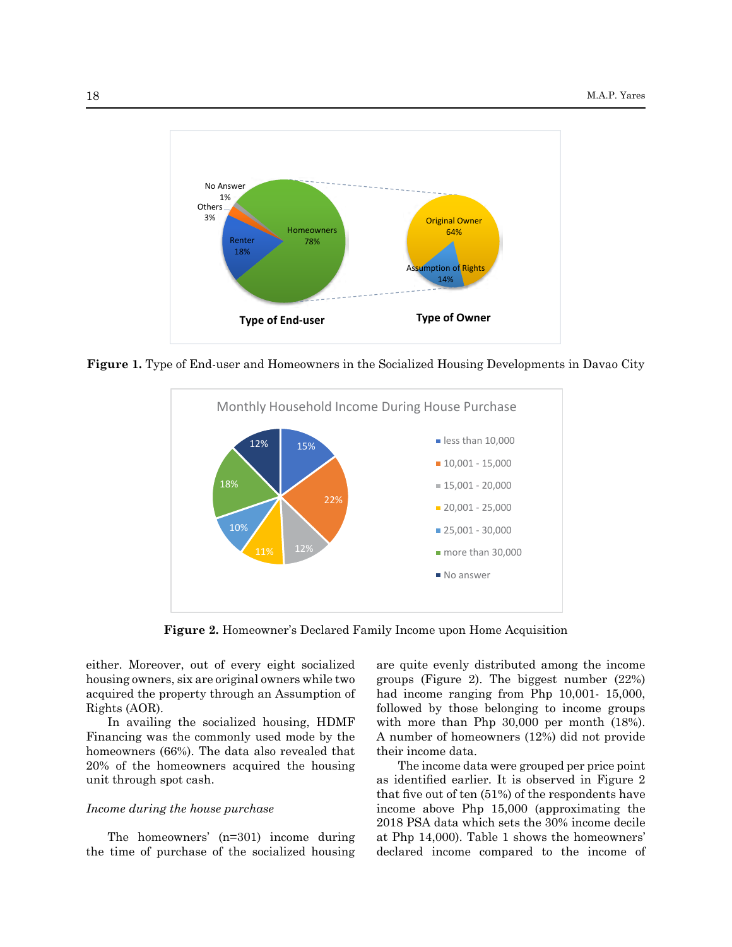

146 **Figure 1.** Type of End-user and Homeowners in the Socialized Housing Developments in Davao City **Figure 1.** Type of End-user and Homeowners in the Socialized Housing Developments in Davao City



158 **Figure 2.** Homeowner's Declared Family Income upon Home Acquisition **Figure 2.** Homeowner's Declared Family Income upon Home Acquisition

either. Moreover, out of every eight socialized are quite evenly distributed among the income enner. Moreover, out of every eight socialized are quite evenly distributed allong the income housing owners, six are original owners while two groups (Figure 2). The biggest number (22%)  $\frac{1}{2}$  acquired the property through an Assumption of had income ranging from Php 10,001-15,000, Rights (AOR).

In availing the socialized housing, HDMF Financing was the commonly used mode by the  $\Lambda$  number of homeowners (12%) did not provide homeowners (66%). The data also revealed that their income data. 20% of the homeowners acquired the housing The income data were grouped per price point  $\frac{1}{2}$  and the target socialized socialized continued in  $\frac{1}{2}$  is absented in  $\frac{1}{2}$  increased. unit through spot cash.

# *Income during the house purchase*

The homeowners'  $(n=301)$  income during the time of purchase of the socialized housing

are quite evenly distributed among the income groups (Figure 2). The biggest number (22%) had income ranging from Php 10,001- 15,000, Rights (AOR). The 162 of the 162 declared income compared to the income groups followed by those belonging to income groups In availing the socialized housing, HDMF with more than Php 30,000 per month (18%). A number of homeowners (12%) did not provide their income data.

The income data were grouped per price point as identified earlier. It is observed in Figure 2 and through spot cash. as the respondent of the respondents have that five out of ten (51%) of the respondents have Income during the house purchase income above Php 15,000 (approximating the 2018 PSA data which sets the 30% income decile at Php 14,000). Table 1 shows the homeowners' declared income compared to the income of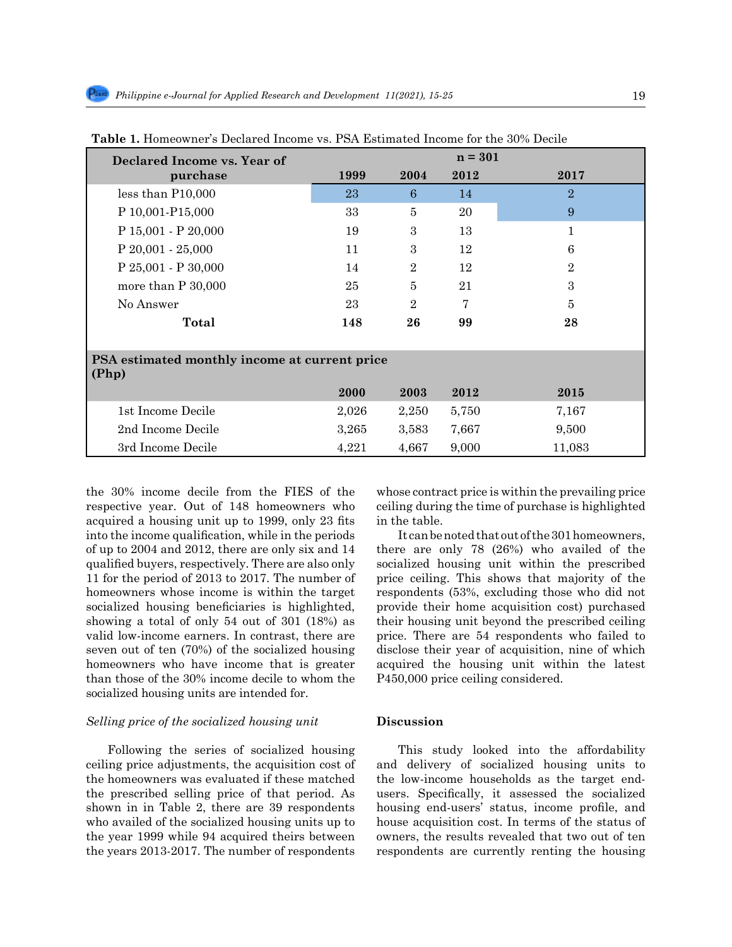| Declared Income vs. Year of                            |       |                | $n = 301$ |                |  |  |
|--------------------------------------------------------|-------|----------------|-----------|----------------|--|--|
| purchase                                               | 1999  | 2004           | 2012      | 2017           |  |  |
| less than P10,000                                      | 23    | 6              | 14        | $\overline{2}$ |  |  |
| P 10,001-P15,000                                       | 33    | 5              | 20        | 9              |  |  |
| $P$ 15,001 - $P$ 20,000                                | 19    | 3              | 13        | 1              |  |  |
| $P 20,001 - 25,000$                                    | 11    | 3              | 12        | 6              |  |  |
| P 25,001 - P 30,000                                    | 14    | $\overline{2}$ | 12        | $\overline{2}$ |  |  |
| more than $P$ 30,000                                   | 25    | 5              | 21        | 3              |  |  |
| No Answer                                              | 23    | $\overline{2}$ | 7         | $\overline{5}$ |  |  |
| Total                                                  | 148   | 26             | 99        | 28             |  |  |
|                                                        |       |                |           |                |  |  |
| PSA estimated monthly income at current price<br>(Php) |       |                |           |                |  |  |
|                                                        | 2000  | 2003           | 2012      | 2015           |  |  |
| 1st Income Decile                                      | 2,026 | 2,250          | 5,750     | 7,167          |  |  |
| 2nd Income Decile                                      | 3,265 | 3,583          | 7,667     | 9,500          |  |  |
| 3rd Income Decile                                      | 4,221 | 4,667          | 9,000     | 11,083         |  |  |

**Table 1.** Homeowner's Declared Income vs. PSA Estimated Income for the 30% Decile

the 30% income decile from the FIES of the respective year. Out of 148 homeowners who acquired a housing unit up to 1999, only 23 fits into the income qualification, while in the periods of up to 2004 and 2012, there are only six and 14 qualified buyers, respectively. There are also only 11 for the period of 2013 to 2017. The number of homeowners whose income is within the target socialized housing beneficiaries is highlighted, showing a total of only 54 out of 301 (18%) as valid low-income earners. In contrast, there are seven out of ten (70%) of the socialized housing homeowners who have income that is greater than those of the 30% income decile to whom the socialized housing units are intended for.

### *Selling price of the socialized housing unit*

Following the series of socialized housing ceiling price adjustments, the acquisition cost of the homeowners was evaluated if these matched the prescribed selling price of that period. As shown in in Table 2, there are 39 respondents who availed of the socialized housing units up to the year 1999 while 94 acquired theirs between the years 2013-2017. The number of respondents whose contract price is within the prevailing price ceiling during the time of purchase is highlighted in the table.

It can be noted that out of the 301 homeowners, there are only 78 (26%) who availed of the socialized housing unit within the prescribed price ceiling. This shows that majority of the respondents (53%, excluding those who did not provide their home acquisition cost) purchased their housing unit beyond the prescribed ceiling price. There are 54 respondents who failed to disclose their year of acquisition, nine of which acquired the housing unit within the latest P450,000 price ceiling considered.

# **Discussion**

This study looked into the affordability and delivery of socialized housing units to the low-income households as the target endusers. Specifically, it assessed the socialized housing end-users' status, income profile, and house acquisition cost. In terms of the status of owners, the results revealed that two out of ten respondents are currently renting the housing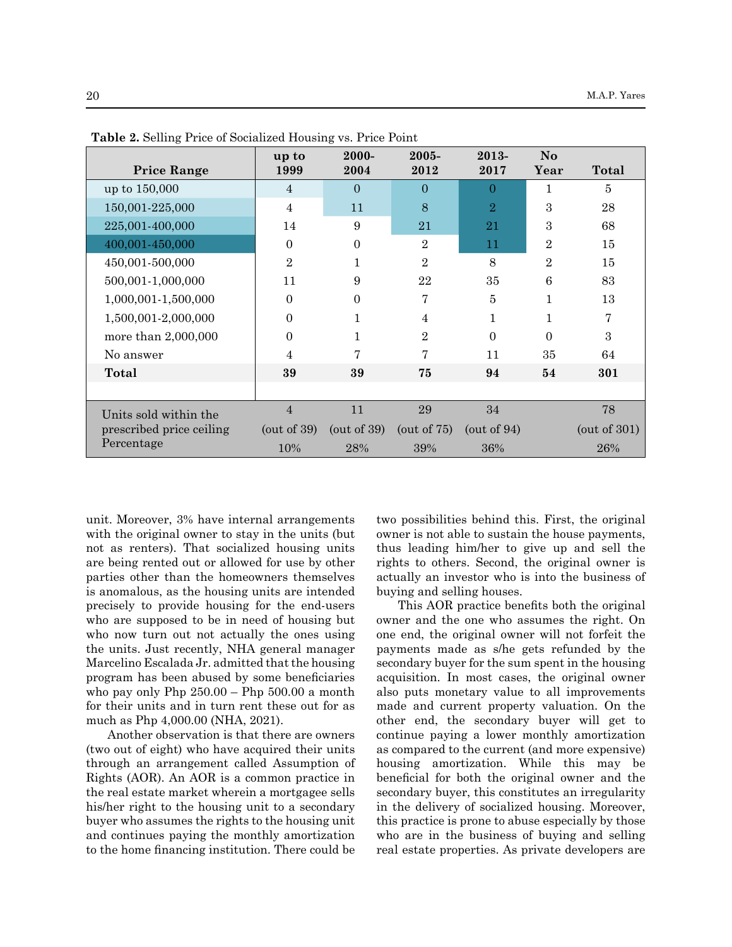| <b>Price Range</b>       | up to<br>1999     | 2000-<br>2004     | $2005 -$<br>2012 | 2013-<br>2017     | N <sub>o</sub><br>Year | Total              |
|--------------------------|-------------------|-------------------|------------------|-------------------|------------------------|--------------------|
| up to 150,000            | $\overline{4}$    | $\Omega$          | $\Omega$         | $\Omega$          |                        | 5                  |
| 150,001-225,000          | 4                 | 11                | 8                | $\overline{2}$    | 3                      | 28                 |
| 225,001-400,000          | 14                | 9                 | 21               | 21                | 3                      | 68                 |
| 400,001-450,000          | $\Omega$          | $\boldsymbol{0}$  | $\overline{2}$   | 11                | $\overline{2}$         | 15                 |
| 450,001-500,000          | $\overline{2}$    | 1                 | $\overline{2}$   | 8                 | $\overline{2}$         | 15                 |
| 500,001-1,000,000        | 11                | 9                 | 22               | 35                | 6                      | 83                 |
| 1,000,001-1,500,000      | $\Omega$          | $\Omega$          | 7                | 5                 | 1                      | 13                 |
| 1,500,001-2,000,000      | $\Omega$          | 1                 | $\overline{4}$   | 1                 | 1                      | 7                  |
| more than 2,000,000      | 0                 | 1                 | $\overline{2}$   | $\Omega$          | $\Omega$               | 3                  |
| No answer                | 4                 | 7                 | 7                | 11                | 35                     | 64                 |
| Total                    | 39                | 39                | 75               | 94                | 54                     | 301                |
|                          |                   |                   |                  |                   |                        |                    |
| Units sold within the    | 4                 | 11                | 29               | 34                |                        | 78                 |
| prescribed price ceiling | $($ out of 39 $)$ | $($ out of 39 $)$ | (out of $75$ )   | $($ out of 94 $)$ |                        | $($ out of 301 $)$ |
| Percentage               | 10%               | 28%               | 39%              | 36%               |                        | 26%                |

**Table 2.** Selling Price of Socialized Housing vs. Price Point

unit. Moreover, 3% have internal arrangements with the original owner to stay in the units (but not as renters). That socialized housing units are being rented out or allowed for use by other parties other than the homeowners themselves is anomalous, as the housing units are intended precisely to provide housing for the end-users who are supposed to be in need of housing but who now turn out not actually the ones using the units. Just recently, NHA general manager Marcelino Escalada Jr. admitted that the housing program has been abused by some beneficiaries who pay only Php 250.00 – Php 500.00 a month for their units and in turn rent these out for as much as Php 4,000.00 (NHA, 2021).

Another observation is that there are owners (two out of eight) who have acquired their units through an arrangement called Assumption of Rights (AOR). An AOR is a common practice in the real estate market wherein a mortgagee sells his/her right to the housing unit to a secondary buyer who assumes the rights to the housing unit and continues paying the monthly amortization to the home financing institution. There could be two possibilities behind this. First, the original owner is not able to sustain the house payments, thus leading him/her to give up and sell the rights to others. Second, the original owner is actually an investor who is into the business of buying and selling houses.

This AOR practice benefits both the original owner and the one who assumes the right. On one end, the original owner will not forfeit the payments made as s/he gets refunded by the secondary buyer for the sum spent in the housing acquisition. In most cases, the original owner also puts monetary value to all improvements made and current property valuation. On the other end, the secondary buyer will get to continue paying a lower monthly amortization as compared to the current (and more expensive) housing amortization. While this may be beneficial for both the original owner and the secondary buyer, this constitutes an irregularity in the delivery of socialized housing. Moreover, this practice is prone to abuse especially by those who are in the business of buying and selling real estate properties. As private developers are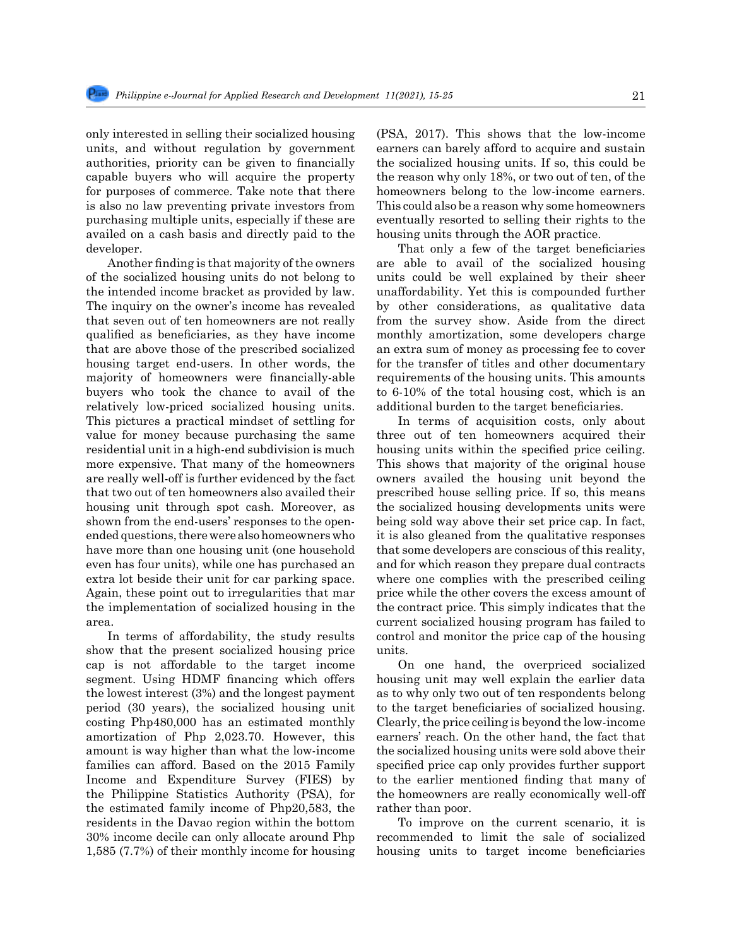only interested in selling their socialized housing units, and without regulation by government authorities, priority can be given to financially capable buyers who will acquire the property for purposes of commerce. Take note that there is also no law preventing private investors from purchasing multiple units, especially if these are availed on a cash basis and directly paid to the developer.

Another finding is that majority of the owners of the socialized housing units do not belong to the intended income bracket as provided by law. The inquiry on the owner's income has revealed that seven out of ten homeowners are not really qualified as beneficiaries, as they have income that are above those of the prescribed socialized housing target end-users. In other words, the majority of homeowners were financially-able buyers who took the chance to avail of the relatively low-priced socialized housing units. This pictures a practical mindset of settling for value for money because purchasing the same residential unit in a high-end subdivision is much more expensive. That many of the homeowners are really well-off is further evidenced by the fact that two out of ten homeowners also availed their housing unit through spot cash. Moreover, as shown from the end-users' responses to the openended questions, there were also homeowners who have more than one housing unit (one household even has four units), while one has purchased an extra lot beside their unit for car parking space. Again, these point out to irregularities that mar the implementation of socialized housing in the area.

In terms of affordability, the study results show that the present socialized housing price cap is not affordable to the target income segment. Using HDMF financing which offers the lowest interest (3%) and the longest payment period (30 years), the socialized housing unit costing Php480,000 has an estimated monthly amortization of Php 2,023.70. However, this amount is way higher than what the low-income families can afford. Based on the 2015 Family Income and Expenditure Survey (FIES) by the Philippine Statistics Authority (PSA), for the estimated family income of Php20,583, the residents in the Davao region within the bottom 30% income decile can only allocate around Php 1,585 (7.7%) of their monthly income for housing (PSA, 2017). This shows that the low-income earners can barely afford to acquire and sustain the socialized housing units. If so, this could be the reason why only 18%, or two out of ten, of the homeowners belong to the low-income earners. This could also be a reason why some homeowners eventually resorted to selling their rights to the housing units through the AOR practice.

That only a few of the target beneficiaries are able to avail of the socialized housing units could be well explained by their sheer unaffordability. Yet this is compounded further by other considerations, as qualitative data from the survey show. Aside from the direct monthly amortization, some developers charge an extra sum of money as processing fee to cover for the transfer of titles and other documentary requirements of the housing units. This amounts to 6-10% of the total housing cost, which is an additional burden to the target beneficiaries.

In terms of acquisition costs, only about three out of ten homeowners acquired their housing units within the specified price ceiling. This shows that majority of the original house owners availed the housing unit beyond the prescribed house selling price. If so, this means the socialized housing developments units were being sold way above their set price cap. In fact, it is also gleaned from the qualitative responses that some developers are conscious of this reality, and for which reason they prepare dual contracts where one complies with the prescribed ceiling price while the other covers the excess amount of the contract price. This simply indicates that the current socialized housing program has failed to control and monitor the price cap of the housing units.

On one hand, the overpriced socialized housing unit may well explain the earlier data as to why only two out of ten respondents belong to the target beneficiaries of socialized housing. Clearly, the price ceiling is beyond the low-income earners' reach. On the other hand, the fact that the socialized housing units were sold above their specified price cap only provides further support to the earlier mentioned finding that many of the homeowners are really economically well-off rather than poor.

To improve on the current scenario, it is recommended to limit the sale of socialized housing units to target income beneficiaries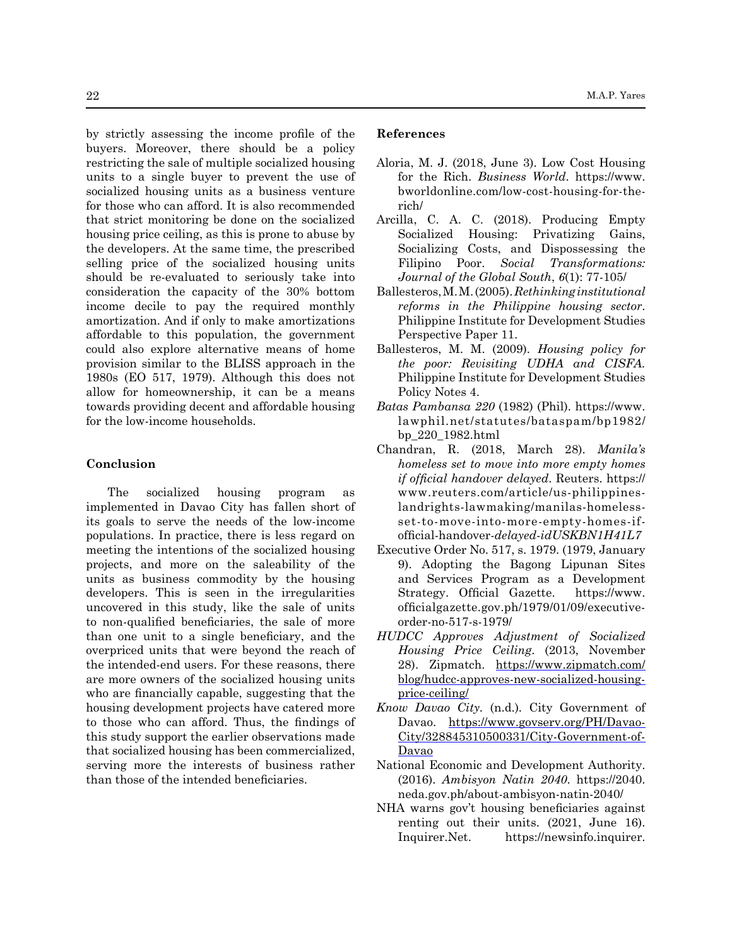by strictly assessing the income profile of the buyers. Moreover, there should be a policy restricting the sale of multiple socialized housing units to a single buyer to prevent the use of socialized housing units as a business venture for those who can afford. It is also recommended that strict monitoring be done on the socialized housing price ceiling, as this is prone to abuse by the developers. At the same time, the prescribed selling price of the socialized housing units should be re-evaluated to seriously take into consideration the capacity of the 30% bottom income decile to pay the required monthly amortization. And if only to make amortizations affordable to this population, the government could also explore alternative means of home provision similar to the BLISS approach in the 1980s (EO 517, 1979). Although this does not allow for homeownership, it can be a means towards providing decent and affordable housing for the low-income households.

## **Conclusion**

The socialized housing program as implemented in Davao City has fallen short of its goals to serve the needs of the low-income populations. In practice, there is less regard on meeting the intentions of the socialized housing projects, and more on the saleability of the units as business commodity by the housing developers. This is seen in the irregularities uncovered in this study, like the sale of units to non-qualified beneficiaries, the sale of more than one unit to a single beneficiary, and the overpriced units that were beyond the reach of the intended-end users. For these reasons, there are more owners of the socialized housing units who are financially capable, suggesting that the housing development projects have catered more to those who can afford. Thus, the findings of this study support the earlier observations made that socialized housing has been commercialized, serving more the interests of business rather than those of the intended beneficiaries.

#### **References**

- Aloria, M. J. (2018, June 3). Low Cost Housing for the Rich. *Business World*. https://www. bworldonline.com/low-cost-housing-for-therich/
- Arcilla, C. A. C. (2018). Producing Empty Socialized Housing: Privatizing Gains, Socializing Costs, and Dispossessing the Filipino Poor. *Social Transformations: Journal of the Global South*, *6*(1): 77-105/
- Ballesteros, M. M. (2005). *Rethinking institutional reforms in the Philippine housing sector*. Philippine Institute for Development Studies Perspective Paper 11.
- Ballesteros, M. M. (2009). *Housing policy for the poor: Revisiting UDHA and CISFA.* Philippine Institute for Development Studies Policy Notes 4.
- *Batas Pambansa 220* (1982) (Phil). https://www. lawphil.net/statutes/bataspam/bp1982/ bp\_220\_1982.html
- Chandran, R. (2018, March 28). *Manila's homeless set to move into more empty homes if official handover delayed*. Reuters. https:// www.reuters.com/article/us-philippineslandrights-lawmaking/manilas-homelessset-to-move-into-more-empty-homes-ifofficial-handover-*delayed-idUSKBN1H41L7*
- Executive Order No. 517, s. 1979. (1979, January 9). Adopting the Bagong Lipunan Sites and Services Program as a Development Strategy. Official Gazette. https://www. officialgazette.gov.ph/1979/01/09/executiveorder-no-517-s-1979/
- *HUDCC Approves Adjustment of Socialized Housing Price Ceiling*. (2013, November 28). Zipmatch. [https://www.zipmatch.com/](https://www.zipmatch.com/blog/hudcc-approves-new-socialized-housing-price-ceiling/) [blog/hudcc-approves-new-socialized-housing](https://www.zipmatch.com/blog/hudcc-approves-new-socialized-housing-price-ceiling/)[price-ceiling/](https://www.zipmatch.com/blog/hudcc-approves-new-socialized-housing-price-ceiling/)
- *Know Davao City.* (n.d.)*.* City Government of Davao. [https://www.govserv.org/PH/Davao-](https://www.govserv.org/PH/Davao-City/328845310500331/City-Government-of-Davao)[City/328845310500331/City-Government-of-](https://www.govserv.org/PH/Davao-City/328845310500331/City-Government-of-Davao)[Davao](https://www.govserv.org/PH/Davao-City/328845310500331/City-Government-of-Davao)
- National Economic and Development Authority. (2016). *Ambisyon Natin 2040*. https://2040. neda.gov.ph/about-ambisyon-natin-2040/
- NHA warns gov't housing beneficiaries against renting out their units. (2021, June 16). Inquirer.Net. https://newsinfo.inquirer.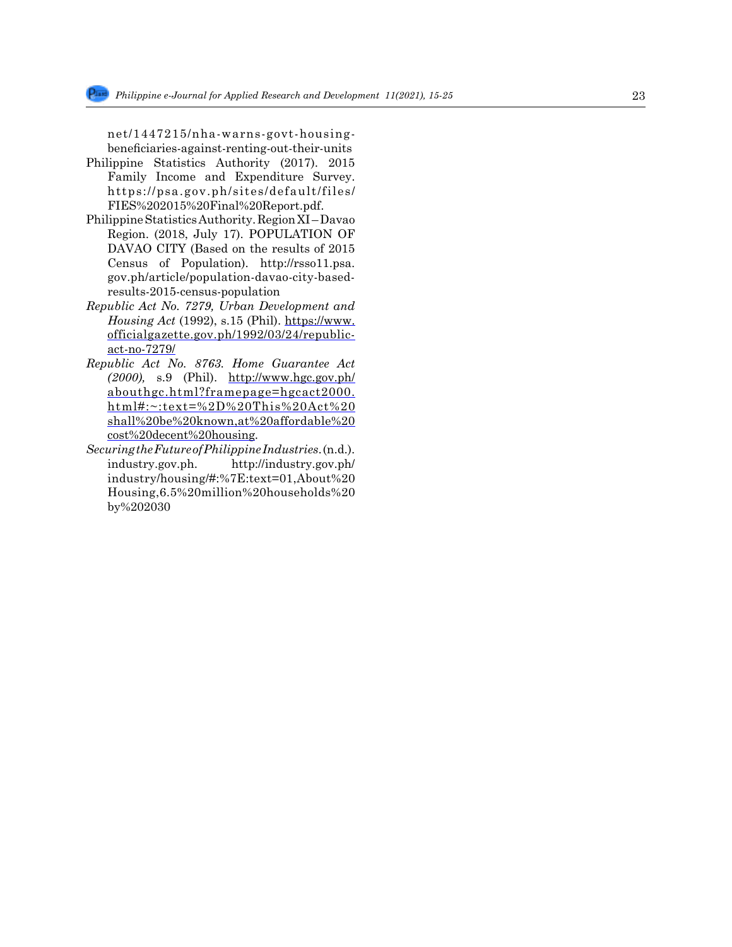net/1447215/nha-warns-govt-housingbeneficiaries-against-renting-out-their-units

- Philippine Statistics Authority (2017). 2015 Family Income and Expenditure Survey. https://psa.gov.ph/sites/default/files/ FIES%202015%20Final%20Report.pdf.
- Philippine Statistics Authority. Region XI Davao Region. (2018, July 17). POPULATION OF DAVAO CITY (Based on the results of 2015 Census of Population). http://rsso11.psa. gov.ph/article/population-davao-city-basedresults-2015-census-population
- *Republic Act No. 7279, Urban Development and Housing Act* (1992), s.15 (Phil). [https://www.](https://www.officialgazette.gov.ph/1992/03/24/republic-act-no-7279/) [officialgazette.gov.ph/1992/03/24/republic](https://www.officialgazette.gov.ph/1992/03/24/republic-act-no-7279/)[act-no-7279/](https://www.officialgazette.gov.ph/1992/03/24/republic-act-no-7279/)
- *Republic Act No. 8763. Home Guarantee Act (2000),* s.9 (Phil). http://www.hgc.gov.ph/ abouthgc.html?framepage=hgcact2000. html#:~:text=%2D%20This%20Act%20 shall%20be%20known,at%20affordable%20 cost%20decent%20housing*.*
- *Securing the Future of Philippine Industries*. (n.d.). industry.gov.ph. http://industry.gov.ph/ industry/housing/#:%7E:text=01,About%20 Housing,6.5%20million%20households%20 by%202030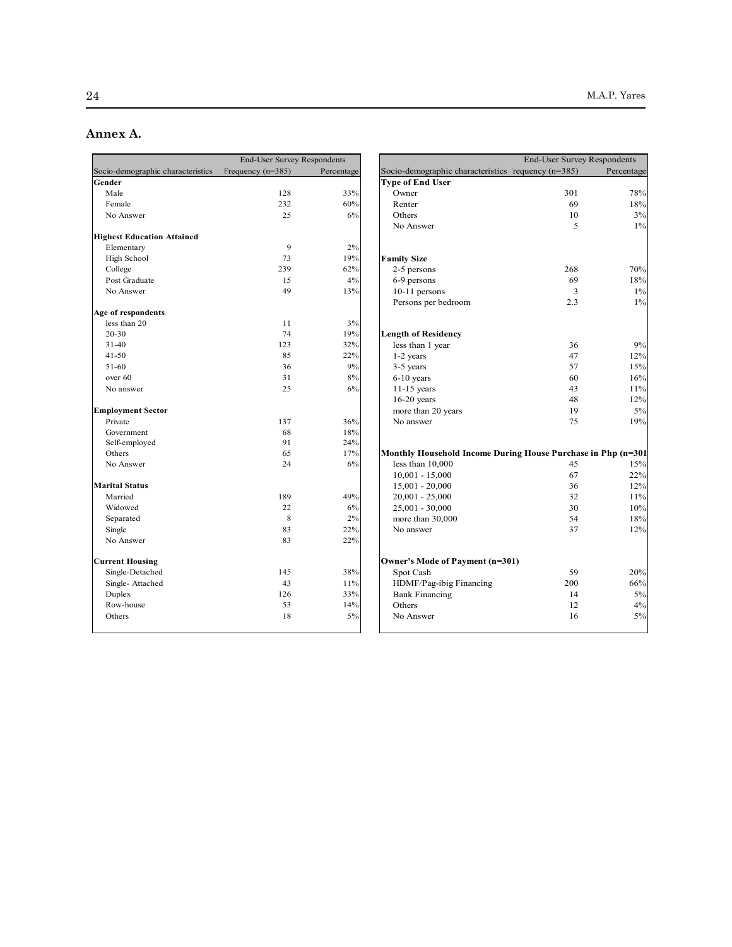# Annex A.

|                                   | <b>End-User Survey Respondents</b> |            |                                        |
|-----------------------------------|------------------------------------|------------|----------------------------------------|
| Socio-demographic characteristics | Frequency $(n=385)$                | Percentage | Socio-demographic characteristics re   |
| Gender                            |                                    |            | <b>Type of End User</b>                |
| Male                              | 128                                | 33%        | Owner                                  |
| Female                            | 232                                | 60%        | Renter                                 |
| No Answer                         | 25                                 | 6%         | Others                                 |
|                                   |                                    |            | No Answer                              |
| <b>Highest Education Attained</b> |                                    |            |                                        |
| Elementary                        | 9                                  | 2%         |                                        |
| High School                       | 73                                 | 19%        | <b>Family Size</b>                     |
| College                           | 239                                | 62%        | 2-5 persons                            |
| Post Graduate                     | 15                                 | 4%         | 6-9 persons                            |
| No Answer                         | 49                                 | 13%        | 10-11 persons                          |
|                                   |                                    |            | Persons per bedroom                    |
| Age of respondents                |                                    |            |                                        |
| less than 20                      | 11                                 | 3%         |                                        |
| 20-30                             | 74                                 | 19%        | <b>Length of Residency</b>             |
| $31 - 40$                         | 123                                | 32%        | less than 1 year                       |
| $41 - 50$                         | 85                                 | 22%        | 1-2 years                              |
| 51-60                             | 36                                 | 9%         | 3-5 years                              |
| over 60                           | 31                                 | 8%         | $6-10$ years                           |
| No answer                         | 25                                 | 6%         | $11-15$ years                          |
|                                   |                                    |            | $16-20$ years                          |
| <b>Employment Sector</b>          |                                    |            | more than 20 years                     |
| Private                           | 137                                | 36%        | No answer                              |
| Government                        | 68                                 | 18%        |                                        |
| Self-employed                     | 91                                 | 24%        |                                        |
| Others                            | 65                                 | 17%        | <b>Monthly Household Income During</b> |
| No Answer                         | 24                                 | 6%         | less than $10,000$                     |
|                                   |                                    |            | $10,001 - 15,000$                      |
| <b>Marital Status</b>             |                                    |            | $15,001 - 20,000$                      |
| Married                           | 189                                | 49%        | $20,001 - 25,000$                      |
| Widowed                           | 22                                 | 6%         | 25,001 - 30,000                        |
| Separated                         | 8                                  | 2%         | more than 30,000                       |
| Single                            | 83                                 | 22%        | No answer                              |
| No Answer                         | 83                                 | 22%        |                                        |
| <b>Current Housing</b>            |                                    |            | Owner's Mode of Payment (n=301)        |
| Single-Detached                   | 145                                | 38%        | Spot Cash                              |
| Single-Attached                   | 43                                 | 11%        | HDMF/Pag-ibig Financing                |
| Duplex                            | 126                                | 33%        | <b>Bank Financing</b>                  |
| Row-house                         | 53                                 | 14%        | Others                                 |
| Others                            | 18                                 | 5%         | No Answer                              |
|                                   |                                    |            |                                        |

| <b>End-User Survey Respondents</b> |                     |            |                                                              | <b>End-User Survey Respondents</b> |            |
|------------------------------------|---------------------|------------|--------------------------------------------------------------|------------------------------------|------------|
| Socio-demographic characteristics  | Frequency $(n=385)$ | Percentage | Socio-demographic characteristics requency (n=385)           |                                    | Percentage |
| Gender                             |                     |            | <b>Type of End User</b>                                      |                                    |            |
| Male                               | 128                 | 33%        | Owner                                                        | 301                                | 78%        |
| Female                             | 232                 | 60%        | Renter                                                       | 69                                 | 18%        |
| No Answer                          | 25                  | 6%         | Others                                                       | 10                                 | 3%         |
|                                    |                     |            | No Answer                                                    | 5                                  | $1\%$      |
| <b>Highest Education Attained</b>  |                     |            |                                                              |                                    |            |
| Elementary                         | 9                   | 2%         |                                                              |                                    |            |
| High School                        | 73                  | 19%        | <b>Family Size</b>                                           |                                    |            |
| College                            | 239                 | 62%        | 2-5 persons                                                  | 268                                | 70%        |
| Post Graduate                      | 15                  | 4%         | 6-9 persons                                                  | 69                                 | 18%        |
| No Answer                          | 49                  | 13%        | 10-11 persons                                                | 3                                  | $1\%$      |
|                                    |                     |            | Persons per bedroom                                          | 2.3                                | $1\%$      |
| Age of respondents                 |                     |            |                                                              |                                    |            |
| less than 20                       | 11                  | 3%         |                                                              |                                    |            |
| $20 - 30$                          | 74                  | 19%        | <b>Length of Residency</b>                                   |                                    |            |
| $31 - 40$                          | 123                 | 32%        | less than 1 year                                             | 36                                 | 9%         |
| $41 - 50$                          | 85                  | 22%        | 1-2 years                                                    | 47                                 | 12%        |
| 51-60                              | 36                  | 9%         | 3-5 years                                                    | 57                                 | 15%        |
| over 60                            | 31                  | 8%         | $6-10$ years                                                 | 60                                 | 16%        |
| No answer                          | 25                  | 6%         | $11-15$ years                                                | 43                                 | 11%        |
|                                    |                     |            | $16-20$ years                                                | 48                                 | 12%        |
| <b>Employment Sector</b>           |                     |            | more than 20 years                                           | 19                                 | 5%         |
| Private                            | 137                 | 36%        | No answer                                                    | 75                                 | 19%        |
| Government                         | 68                  | 18%        |                                                              |                                    |            |
| Self-employed                      | 91                  | 24%        |                                                              |                                    |            |
| Others                             | 65                  | 17%        | Monthly Household Income During House Purchase in Php (n=301 |                                    |            |
| No Answer                          | 24                  | 6%         | less than 10,000                                             | 45                                 | 15%        |
|                                    |                     |            | $10,001 - 15,000$                                            | 67                                 | 22%        |
| <b>Marital Status</b>              |                     |            | 15,001 - 20,000                                              | 36                                 | 12%        |
| Married                            | 189                 | 49%        | $20,001 - 25,000$                                            | 32                                 | 11%        |
| Widowed                            | 22                  | 6%         | 25,001 - 30,000                                              | 30                                 | 10%        |
| Separated                          | $\,$ 8 $\,$         | 2%         | more than 30,000                                             | 54                                 | 18%        |
| Single                             | 83                  | 22%        | No answer                                                    | 37                                 | 12%        |
| No Answer                          | 83                  | 22%        |                                                              |                                    |            |
| <b>Current Housing</b>             |                     |            | Owner's Mode of Payment (n=301)                              |                                    |            |
| Single-Detached                    | 145                 | 38%        | Spot Cash                                                    | 59                                 | 20%        |
| Single-Attached                    | 43                  | 11%        | HDMF/Pag-ibig Financing                                      | 200                                | 66%        |
| Duplex                             | 126                 | 33%        | <b>Bank Financing</b>                                        | 14                                 | 5%         |
| Row-house                          | 53                  | 14%        | Others                                                       | 12                                 | 4%         |
| Others                             | 18                  | 5%         | No Answer                                                    | 16                                 | 5%         |